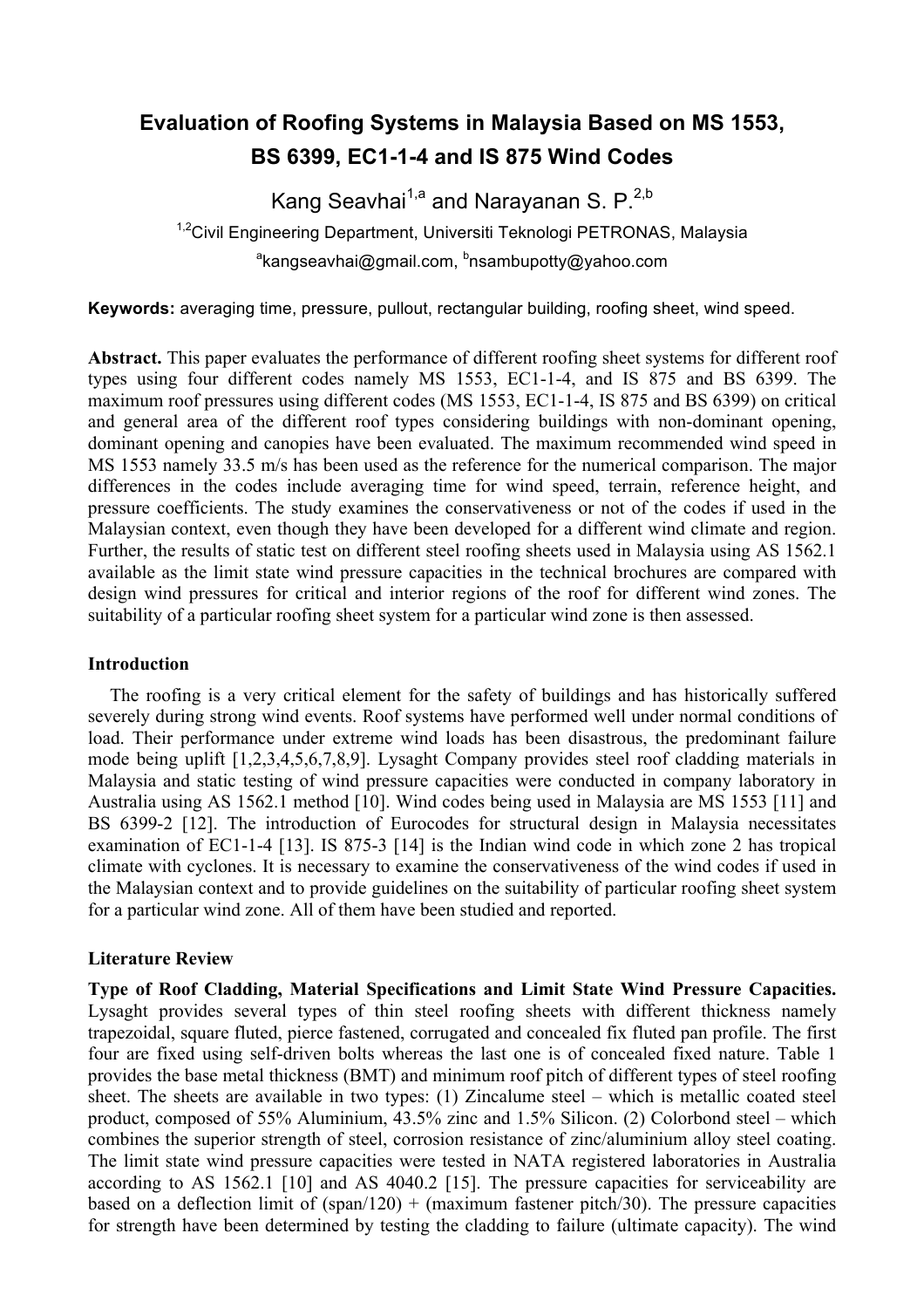# **Evaluation of Roofing Systems in Malaysia Based on MS 1553, BS 6399, EC1-1-4 and IS 875 Wind Codes**

Kang Seavhai<sup>1,a</sup> and Narayanan S.  $P^{2,b}$ <sup>1,2</sup>Civil Engineering Department, Universiti Teknologi PETRONAS, Malaysia <sup>a</sup>kangseavhai@gmail.com, <sup>b</sup>nsambupotty@yahoo.com

**Keywords:** averaging time, pressure, pullout, rectangular building, roofing sheet, wind speed.

**Abstract.** This paper evaluates the performance of different roofing sheet systems for different roof types using four different codes namely MS 1553, EC1-1-4, and IS 875 and BS 6399. The maximum roof pressures using different codes (MS 1553, EC1-1-4, IS 875 and BS 6399) on critical and general area of the different roof types considering buildings with non-dominant opening, dominant opening and canopies have been evaluated. The maximum recommended wind speed in MS 1553 namely 33.5 m/s has been used as the reference for the numerical comparison. The major differences in the codes include averaging time for wind speed, terrain, reference height, and pressure coefficients. The study examines the conservativeness or not of the codes if used in the Malaysian context, even though they have been developed for a different wind climate and region. Further, the results of static test on different steel roofing sheets used in Malaysia using AS 1562.1 available as the limit state wind pressure capacities in the technical brochures are compared with design wind pressures for critical and interior regions of the roof for different wind zones. The suitability of a particular roofing sheet system for a particular wind zone is then assessed.

## **Introduction**

The roofing is a very critical element for the safety of buildings and has historically suffered severely during strong wind events. Roof systems have performed well under normal conditions of load. Their performance under extreme wind loads has been disastrous, the predominant failure mode being uplift [1,2,3,4,5,6,7,8,9]. Lysaght Company provides steel roof cladding materials in Malaysia and static testing of wind pressure capacities were conducted in company laboratory in Australia using AS 1562.1 method [10]. Wind codes being used in Malaysia are MS 1553 [11] and BS 6399-2 [12]. The introduction of Eurocodes for structural design in Malaysia necessitates examination of EC1-1-4 [13]. IS 875-3 [14] is the Indian wind code in which zone 2 has tropical climate with cyclones. It is necessary to examine the conservativeness of the wind codes if used in the Malaysian context and to provide guidelines on the suitability of particular roofing sheet system for a particular wind zone. All of them have been studied and reported.

## **Literature Review**

**Type of Roof Cladding, Material Specifications and Limit State Wind Pressure Capacities.**  Lysaght provides several types of thin steel roofing sheets with different thickness namely trapezoidal, square fluted, pierce fastened, corrugated and concealed fix fluted pan profile. The first four are fixed using self-driven bolts whereas the last one is of concealed fixed nature. Table 1 provides the base metal thickness (BMT) and minimum roof pitch of different types of steel roofing sheet. The sheets are available in two types: (1) Zincalume steel – which is metallic coated steel product, composed of 55% Aluminium, 43.5% zinc and 1.5% Silicon. (2) Colorbond steel – which combines the superior strength of steel, corrosion resistance of zinc/aluminium alloy steel coating. The limit state wind pressure capacities were tested in NATA registered laboratories in Australia according to AS 1562.1 [10] and AS 4040.2 [15]. The pressure capacities for serviceability are based on a deflection limit of  $(span/120) + (maximum faster pitch/30)$ . The pressure capacities for strength have been determined by testing the cladding to failure (ultimate capacity). The wind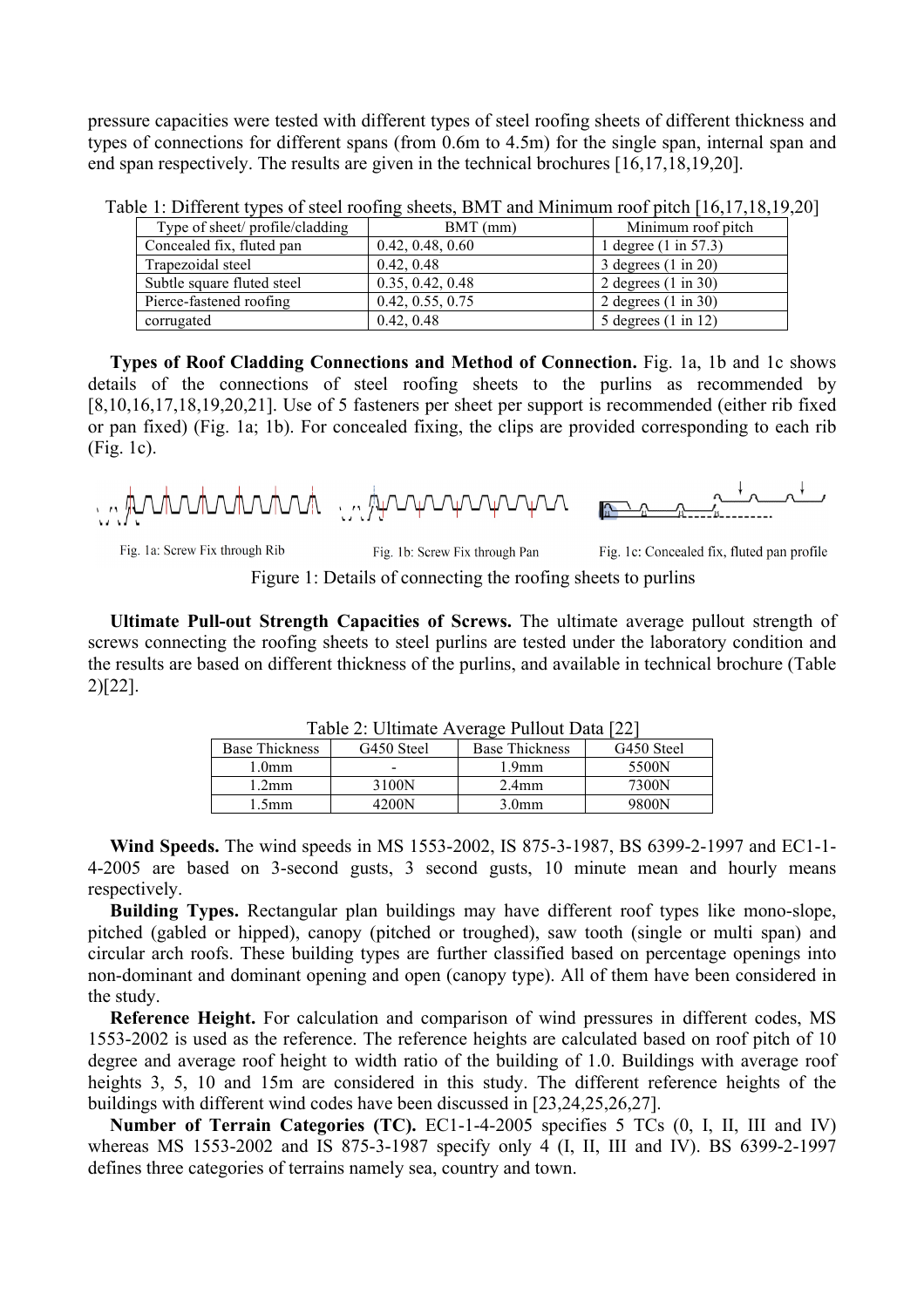pressure capacities were tested with different types of steel roofing sheets of different thickness and types of connections for different spans (from 0.6m to 4.5m) for the single span, internal span and end span respectively. The results are given in the technical brochures [16,17,18,19,20].

| Type of sheet/ profile/cladding | $BMT$ (mm)       | Minimum roof pitch             |
|---------------------------------|------------------|--------------------------------|
| Concealed fix, fluted pan       | 0.42, 0.48, 0.60 | 1 degree (1 in 57.3)           |
| Trapezoidal steel               | 0.42, 0.48       | 3 degrees $(1 \text{ in } 20)$ |
| Subtle square fluted steel      | 0.35, 0.42, 0.48 | 2 degrees $(1 \text{ in } 30)$ |
| Pierce-fastened roofing         | 0.42, 0.55, 0.75 | 2 degrees $(1 \text{ in } 30)$ |
| corrugated                      | 0.42, 0.48       | 5 degrees $(1 \text{ in } 12)$ |

Table 1: Different types of steel roofing sheets, BMT and Minimum roof pitch [16,17,18,19,20]

**Types of Roof Cladding Connections and Method of Connection.** Fig. 1a, 1b and 1c shows details of the connections of steel roofing sheets to the purlins as recommended by [8,10,16,17,18,19,20,21]. Use of 5 fasteners per sheet per support is recommended (either rib fixed or pan fixed) (Fig. 1a; 1b). For concealed fixing, the clips are provided corresponding to each rib (Fig. 1c).

international interviewers

Fig. 1a: Screw Fix through Rib

Fig. 1b: Screw Fix through Pan

Fig. 1c: Concealed fix, fluted pan profile

Figure 1: Details of connecting the roofing sheets to purlins

**Ultimate Pull-out Strength Capacities of Screws.** The ultimate average pullout strength of screws connecting the roofing sheets to steel purlins are tested under the laboratory condition and the results are based on different thickness of the purlins, and available in technical brochure (Table 2)[22].

| Table 2. Offinate Average Pullout Data $ 22 $ |            |                       |            |  |  |
|-----------------------------------------------|------------|-----------------------|------------|--|--|
| <b>Base Thickness</b>                         | G450 Steel | <b>Base Thickness</b> | G450 Steel |  |  |
| 1.0 <sub>mm</sub>                             | -          | 1.9 <sub>mm</sub>     | 5500N      |  |  |
| 1.2 <sub>mm</sub>                             | 3100N      | $2.4$ mm              | 7300N      |  |  |
| $1.5$ mm                                      | 4200N      | 3.0 <sub>mm</sub>     | 9800N      |  |  |

 $2: I$ Iltimate Average Pullout Data [22]

**Wind Speeds.** The wind speeds in MS 1553-2002, IS 875-3-1987, BS 6399-2-1997 and EC1-1- 4-2005 are based on 3-second gusts, 3 second gusts, 10 minute mean and hourly means respectively.

**Building Types.** Rectangular plan buildings may have different roof types like mono-slope, pitched (gabled or hipped), canopy (pitched or troughed), saw tooth (single or multi span) and circular arch roofs. These building types are further classified based on percentage openings into non-dominant and dominant opening and open (canopy type). All of them have been considered in the study.

**Reference Height.** For calculation and comparison of wind pressures in different codes, MS 1553-2002 is used as the reference. The reference heights are calculated based on roof pitch of 10 degree and average roof height to width ratio of the building of 1.0. Buildings with average roof heights 3, 5, 10 and 15m are considered in this study. The different reference heights of the buildings with different wind codes have been discussed in [23,24,25,26,27].

**Number of Terrain Categories (TC).** EC1-1-4-2005 specifies 5 TCs (0, I, II, III and IV) whereas MS 1553-2002 and IS 875-3-1987 specify only 4 (I, II, III and IV). BS 6399-2-1997 defines three categories of terrains namely sea, country and town.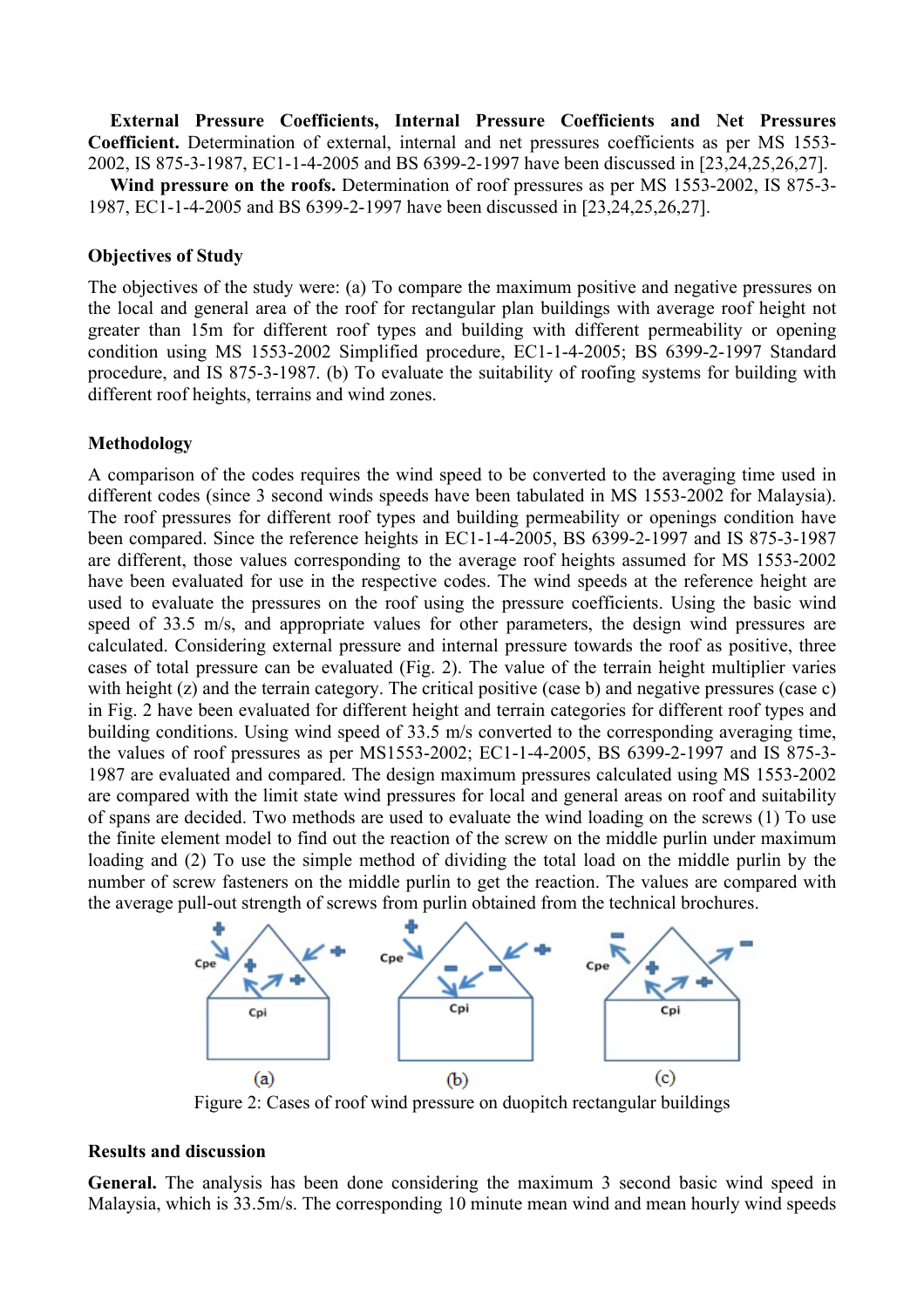**External Pressure Coefficients, Internal Pressure Coefficients and Net Pressures Coefficient.** Determination of external, internal and net pressures coefficients as per MS 1553- 2002, IS 875-3-1987, EC1-1-4-2005 and BS 6399-2-1997 have been discussed in [23,24,25,26,27]. **Wind pressure on the roofs.** Determination of roof pressures as per MS 1553-2002, IS 875-3-

1987, EC1-1-4-2005 and BS 6399-2-1997 have been discussed in [23,24,25,26,27].

#### **Objectives of Study**

The objectives of the study were: (a) To compare the maximum positive and negative pressures on the local and general area of the roof for rectangular plan buildings with average roof height not greater than 15m for different roof types and building with different permeability or opening condition using MS 1553-2002 Simplified procedure, EC1-1-4-2005; BS 6399-2-1997 Standard procedure, and IS 875-3-1987. (b) To evaluate the suitability of roofing systems for building with different roof heights, terrains and wind zones.

## **Methodology**

A comparison of the codes requires the wind speed to be converted to the averaging time used in different codes (since 3 second winds speeds have been tabulated in MS 1553-2002 for Malaysia). The roof pressures for different roof types and building permeability or openings condition have been compared. Since the reference heights in EC1-1-4-2005, BS 6399-2-1997 and IS 875-3-1987 are different, those values corresponding to the average roof heights assumed for MS 1553-2002 have been evaluated for use in the respective codes. The wind speeds at the reference height are used to evaluate the pressures on the roof using the pressure coefficients. Using the basic wind speed of 33.5 m/s, and appropriate values for other parameters, the design wind pressures are calculated. Considering external pressure and internal pressure towards the roof as positive, three cases of total pressure can be evaluated (Fig. 2). The value of the terrain height multiplier varies with height (z) and the terrain category. The critical positive (case b) and negative pressures (case c) in Fig. 2 have been evaluated for different height and terrain categories for different roof types and building conditions. Using wind speed of 33.5 m/s converted to the corresponding averaging time, the values of roof pressures as per MS1553-2002; EC1-1-4-2005, BS 6399-2-1997 and IS 875-3- 1987 are evaluated and compared. The design maximum pressures calculated using MS 1553-2002 are compared with the limit state wind pressures for local and general areas on roof and suitability of spans are decided. Two methods are used to evaluate the wind loading on the screws (1) To use the finite element model to find out the reaction of the screw on the middle purlin under maximum loading and (2) To use the simple method of dividing the total load on the middle purlin by the number of screw fasteners on the middle purlin to get the reaction. The values are compared with the average pull-out strength of screws from purlin obtained from the technical brochures.



Figure 2: Cases of roof wind pressure on duopitch rectangular buildings

#### **Results and discussion**

General. The analysis has been done considering the maximum 3 second basic wind speed in Malaysia, which is 33.5m/s. The corresponding 10 minute mean wind and mean hourly wind speeds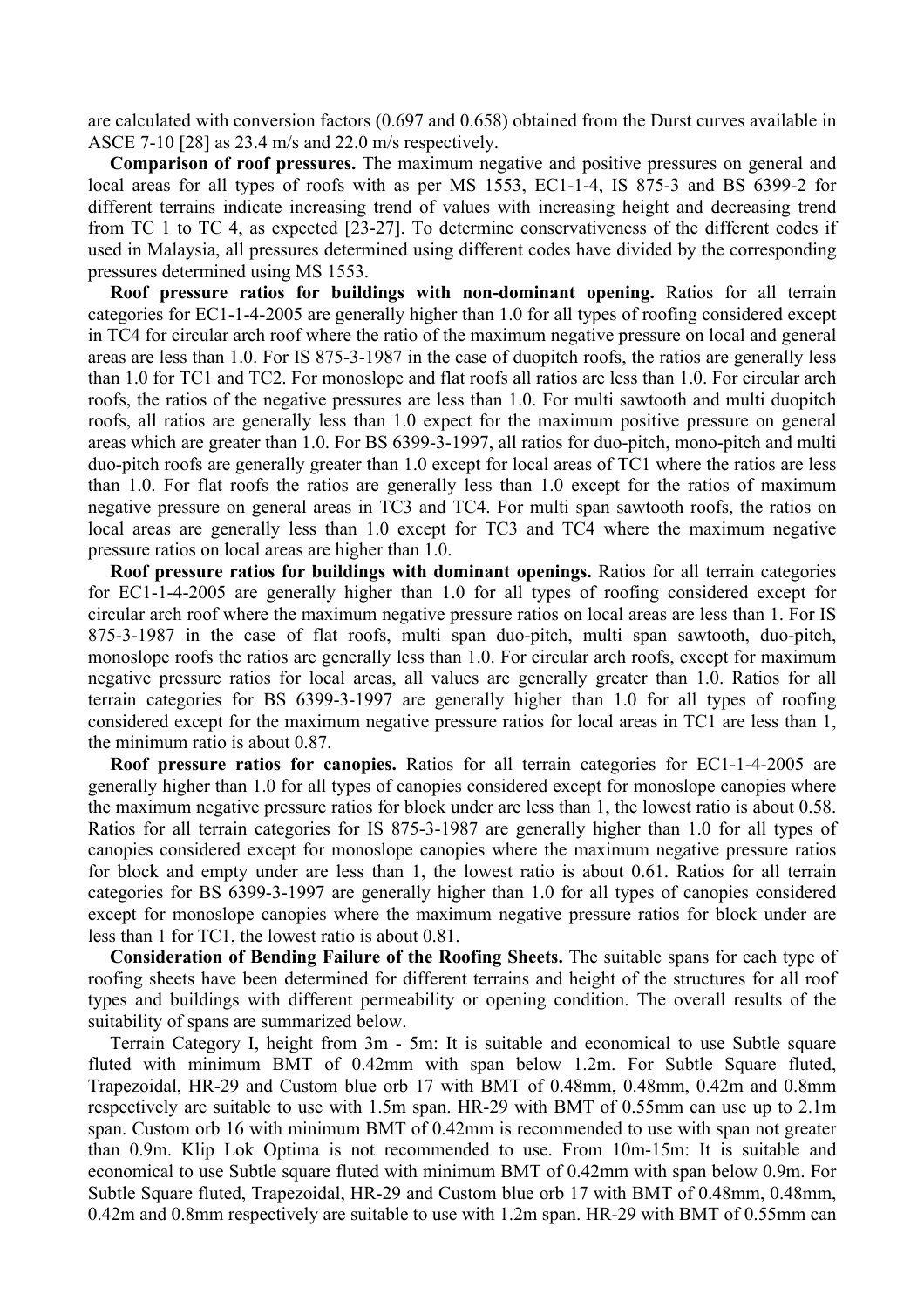are calculated with conversion factors (0.697 and 0.658) obtained from the Durst curves available in ASCE 7-10 [28] as 23.4 m/s and 22.0 m/s respectively.

**Comparison of roof pressures.** The maximum negative and positive pressures on general and local areas for all types of roofs with as per MS 1553, EC1-1-4, IS 875-3 and BS 6399-2 for different terrains indicate increasing trend of values with increasing height and decreasing trend from TC 1 to TC 4, as expected [23-27]. To determine conservativeness of the different codes if used in Malaysia, all pressures determined using different codes have divided by the corresponding pressures determined using MS 1553.

**Roof pressure ratios for buildings with non-dominant opening.** Ratios for all terrain categories for EC1-1-4-2005 are generally higher than 1.0 for all types of roofing considered except in TC4 for circular arch roof where the ratio of the maximum negative pressure on local and general areas are less than 1.0. For IS 875-3-1987 in the case of duopitch roofs, the ratios are generally less than 1.0 for TC1 and TC2. For monoslope and flat roofs all ratios are less than 1.0. For circular arch roofs, the ratios of the negative pressures are less than 1.0. For multi sawtooth and multi duopitch roofs, all ratios are generally less than 1.0 expect for the maximum positive pressure on general areas which are greater than 1.0. For BS 6399-3-1997, all ratios for duo-pitch, mono-pitch and multi duo-pitch roofs are generally greater than 1.0 except for local areas of TC1 where the ratios are less than 1.0. For flat roofs the ratios are generally less than 1.0 except for the ratios of maximum negative pressure on general areas in TC3 and TC4. For multi span sawtooth roofs, the ratios on local areas are generally less than 1.0 except for TC3 and TC4 where the maximum negative pressure ratios on local areas are higher than 1.0.

**Roof pressure ratios for buildings with dominant openings.** Ratios for all terrain categories for EC1-1-4-2005 are generally higher than 1.0 for all types of roofing considered except for circular arch roof where the maximum negative pressure ratios on local areas are less than 1. For IS 875-3-1987 in the case of flat roofs, multi span duo-pitch, multi span sawtooth, duo-pitch, monoslope roofs the ratios are generally less than 1.0. For circular arch roofs, except for maximum negative pressure ratios for local areas, all values are generally greater than 1.0. Ratios for all terrain categories for BS 6399-3-1997 are generally higher than 1.0 for all types of roofing considered except for the maximum negative pressure ratios for local areas in TC1 are less than 1, the minimum ratio is about 0.87.

**Roof pressure ratios for canopies.** Ratios for all terrain categories for EC1-1-4-2005 are generally higher than 1.0 for all types of canopies considered except for monoslope canopies where the maximum negative pressure ratios for block under are less than 1, the lowest ratio is about 0.58. Ratios for all terrain categories for IS 875-3-1987 are generally higher than 1.0 for all types of canopies considered except for monoslope canopies where the maximum negative pressure ratios for block and empty under are less than 1, the lowest ratio is about 0.61. Ratios for all terrain categories for BS 6399-3-1997 are generally higher than 1.0 for all types of canopies considered except for monoslope canopies where the maximum negative pressure ratios for block under are less than 1 for TC1, the lowest ratio is about 0.81.

**Consideration of Bending Failure of the Roofing Sheets.** The suitable spans for each type of roofing sheets have been determined for different terrains and height of the structures for all roof types and buildings with different permeability or opening condition. The overall results of the suitability of spans are summarized below.

Terrain Category I, height from 3m - 5m: It is suitable and economical to use Subtle square fluted with minimum BMT of 0.42mm with span below 1.2m. For Subtle Square fluted, Trapezoidal, HR-29 and Custom blue orb 17 with BMT of 0.48mm, 0.48mm, 0.42m and 0.8mm respectively are suitable to use with 1.5m span. HR-29 with BMT of 0.55mm can use up to 2.1m span. Custom orb 16 with minimum BMT of 0.42mm is recommended to use with span not greater than 0.9m. Klip Lok Optima is not recommended to use. From 10m-15m: It is suitable and economical to use Subtle square fluted with minimum BMT of 0.42mm with span below 0.9m. For Subtle Square fluted, Trapezoidal, HR-29 and Custom blue orb 17 with BMT of 0.48mm, 0.48mm, 0.42m and 0.8mm respectively are suitable to use with 1.2m span. HR-29 with BMT of 0.55mm can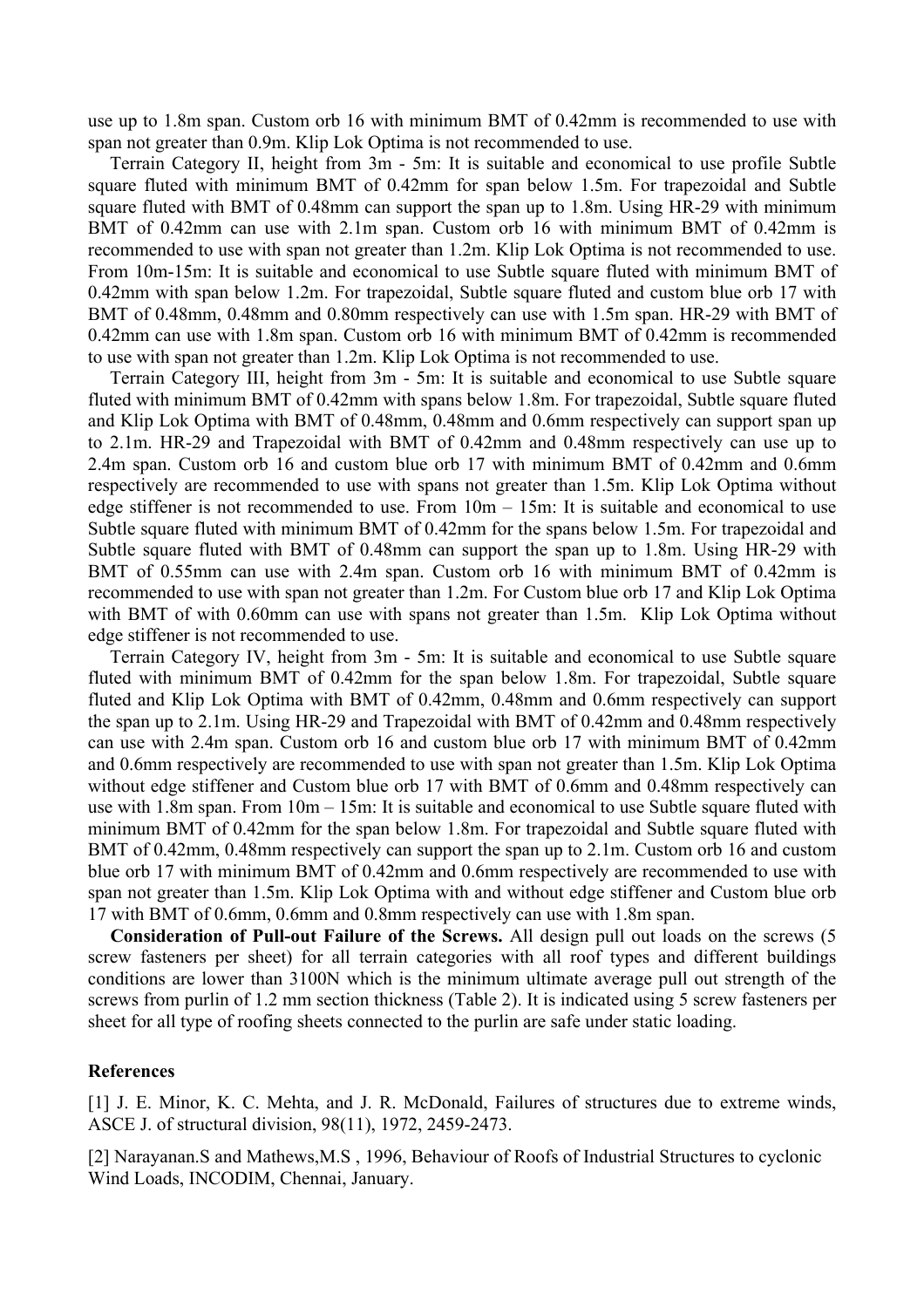use up to 1.8m span. Custom orb 16 with minimum BMT of 0.42mm is recommended to use with span not greater than 0.9m. Klip Lok Optima is not recommended to use.

Terrain Category II, height from 3m - 5m: It is suitable and economical to use profile Subtle square fluted with minimum BMT of 0.42mm for span below 1.5m. For trapezoidal and Subtle square fluted with BMT of 0.48mm can support the span up to 1.8m. Using HR-29 with minimum BMT of 0.42mm can use with 2.1m span. Custom orb 16 with minimum BMT of 0.42mm is recommended to use with span not greater than 1.2m. Klip Lok Optima is not recommended to use. From 10m-15m: It is suitable and economical to use Subtle square fluted with minimum BMT of 0.42mm with span below 1.2m. For trapezoidal, Subtle square fluted and custom blue orb 17 with BMT of 0.48mm, 0.48mm and 0.80mm respectively can use with 1.5m span. HR-29 with BMT of 0.42mm can use with 1.8m span. Custom orb 16 with minimum BMT of 0.42mm is recommended to use with span not greater than 1.2m. Klip Lok Optima is not recommended to use.

Terrain Category III, height from 3m - 5m: It is suitable and economical to use Subtle square fluted with minimum BMT of 0.42mm with spans below 1.8m. For trapezoidal, Subtle square fluted and Klip Lok Optima with BMT of 0.48mm, 0.48mm and 0.6mm respectively can support span up to 2.1m. HR-29 and Trapezoidal with BMT of 0.42mm and 0.48mm respectively can use up to 2.4m span. Custom orb 16 and custom blue orb 17 with minimum BMT of 0.42mm and 0.6mm respectively are recommended to use with spans not greater than 1.5m. Klip Lok Optima without edge stiffener is not recommended to use. From  $10m - 15m$ : It is suitable and economical to use Subtle square fluted with minimum BMT of 0.42mm for the spans below 1.5m. For trapezoidal and Subtle square fluted with BMT of 0.48mm can support the span up to 1.8m. Using HR-29 with BMT of 0.55mm can use with 2.4m span. Custom orb 16 with minimum BMT of 0.42mm is recommended to use with span not greater than 1.2m. For Custom blue orb 17 and Klip Lok Optima with BMT of with 0.60mm can use with spans not greater than 1.5m. Klip Lok Optima without edge stiffener is not recommended to use.

Terrain Category IV, height from 3m - 5m: It is suitable and economical to use Subtle square fluted with minimum BMT of 0.42mm for the span below 1.8m. For trapezoidal, Subtle square fluted and Klip Lok Optima with BMT of 0.42mm, 0.48mm and 0.6mm respectively can support the span up to 2.1m. Using HR-29 and Trapezoidal with BMT of 0.42mm and 0.48mm respectively can use with 2.4m span. Custom orb 16 and custom blue orb 17 with minimum BMT of 0.42mm and 0.6mm respectively are recommended to use with span not greater than 1.5m. Klip Lok Optima without edge stiffener and Custom blue orb 17 with BMT of 0.6mm and 0.48mm respectively can use with 1.8m span. From 10m – 15m: It is suitable and economical to use Subtle square fluted with minimum BMT of 0.42mm for the span below 1.8m. For trapezoidal and Subtle square fluted with BMT of 0.42mm, 0.48mm respectively can support the span up to 2.1m. Custom orb 16 and custom blue orb 17 with minimum BMT of 0.42mm and 0.6mm respectively are recommended to use with span not greater than 1.5m. Klip Lok Optima with and without edge stiffener and Custom blue orb 17 with BMT of 0.6mm, 0.6mm and 0.8mm respectively can use with 1.8m span.

**Consideration of Pull-out Failure of the Screws.** All design pull out loads on the screws (5 screw fasteners per sheet) for all terrain categories with all roof types and different buildings conditions are lower than 3100N which is the minimum ultimate average pull out strength of the screws from purlin of 1.2 mm section thickness (Table 2). It is indicated using 5 screw fasteners per sheet for all type of roofing sheets connected to the purlin are safe under static loading.

#### **References**

[1] J. E. Minor, K. C. Mehta, and J. R. McDonald, Failures of structures due to extreme winds, ASCE J. of structural division, 98(11), 1972, 2459-2473.

[2] Narayanan.S and Mathews,M.S , 1996, Behaviour of Roofs of Industrial Structures to cyclonic Wind Loads, INCODIM, Chennai, January.